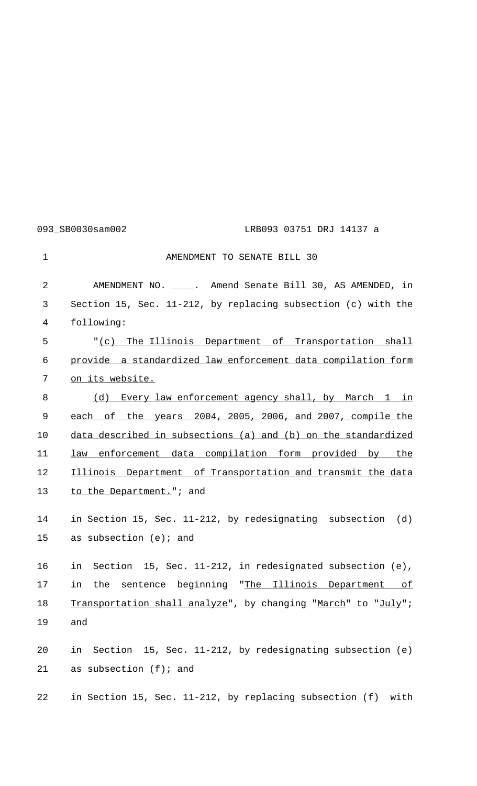093 SB0030sam002 LRB093 03751 DRJ 14137 a

1 AMENDMENT TO SENATE BILL 30 2 AMENDMENT NO. \_\_\_\_. Amend Senate Bill 30, AS AMENDED, in 3 Section 15, Sec. 11-212, by replacing subsection (c) with the 4 following: 5 "(c) The Illinois Department of Transportation shall 6 provide a standardized law enforcement data compilation form 7 on its website. 8 (d) Every law enforcement agency shall, by March 1 in 9 each of the years 2004, 2005, 2006, and 2007, compile the 10 data described in subsections (a) and (b) on the standardized 11 law enforcement data compilation form provided by the 12 Illinois Department of Transportation and transmit the data 13 to the Department."; and 14 in Section 15, Sec. 11-212, by redesignating subsection (d) 15 as subsection (e); and 16 in Section 15, Sec. 11-212, in redesignated subsection (e), 17 in the sentence beginning "The Illinois Department of 18 Transportation shall analyze", by changing "March" to "July"; 19 and 20 in Section 15, Sec. 11-212, by redesignating subsection (e) 21 as subsection (f); and 22 in Section 15, Sec. 11-212, by replacing subsection (f) with